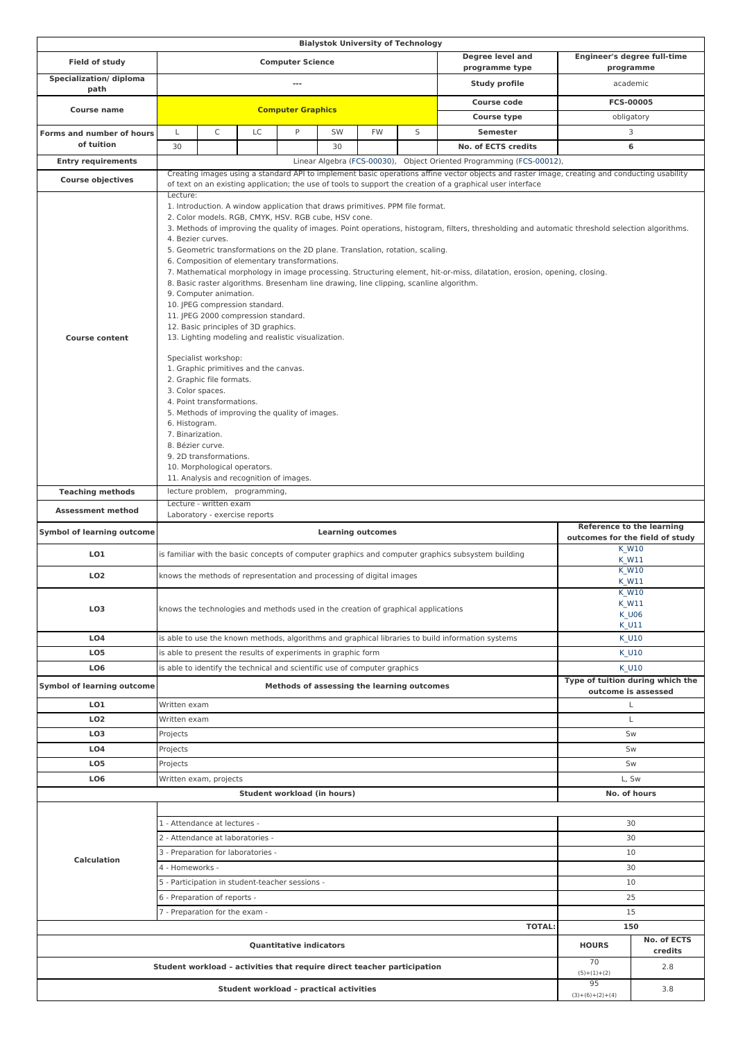|                                                   |                                                                                                                                                                                                                                                                                                                                                                                                                                                                                                                                                                                                                                                                                                                                                                                                                                                                                                                                                                                                                                                                                                                                                                                                                                                                                     |                                                |                                                                           |                                |    | <b>Bialystok University of Technology</b> |                                                                                   |                                                                                                   |                           |                                                       |  |
|---------------------------------------------------|-------------------------------------------------------------------------------------------------------------------------------------------------------------------------------------------------------------------------------------------------------------------------------------------------------------------------------------------------------------------------------------------------------------------------------------------------------------------------------------------------------------------------------------------------------------------------------------------------------------------------------------------------------------------------------------------------------------------------------------------------------------------------------------------------------------------------------------------------------------------------------------------------------------------------------------------------------------------------------------------------------------------------------------------------------------------------------------------------------------------------------------------------------------------------------------------------------------------------------------------------------------------------------------|------------------------------------------------|---------------------------------------------------------------------------|--------------------------------|----|-------------------------------------------|-----------------------------------------------------------------------------------|---------------------------------------------------------------------------------------------------|---------------------------|-------------------------------------------------------|--|
| Field of study                                    | Degree level and<br><b>Computer Science</b><br>programme type                                                                                                                                                                                                                                                                                                                                                                                                                                                                                                                                                                                                                                                                                                                                                                                                                                                                                                                                                                                                                                                                                                                                                                                                                       |                                                |                                                                           |                                |    |                                           |                                                                                   | <b>Engineer's degree full-time</b>                                                                |                           |                                                       |  |
| Specialization/diploma                            | Study profile<br>---                                                                                                                                                                                                                                                                                                                                                                                                                                                                                                                                                                                                                                                                                                                                                                                                                                                                                                                                                                                                                                                                                                                                                                                                                                                                |                                                |                                                                           |                                |    |                                           |                                                                                   | programme<br>academic                                                                             |                           |                                                       |  |
| path                                              |                                                                                                                                                                                                                                                                                                                                                                                                                                                                                                                                                                                                                                                                                                                                                                                                                                                                                                                                                                                                                                                                                                                                                                                                                                                                                     |                                                |                                                                           |                                |    |                                           |                                                                                   | <b>Course code</b>                                                                                |                           | FCS-00005                                             |  |
| <b>Course name</b>                                |                                                                                                                                                                                                                                                                                                                                                                                                                                                                                                                                                                                                                                                                                                                                                                                                                                                                                                                                                                                                                                                                                                                                                                                                                                                                                     | <b>Computer Graphics</b><br><b>Course type</b> |                                                                           |                                |    |                                           |                                                                                   | obligatory                                                                                        |                           |                                                       |  |
| Forms and number of hours                         | L                                                                                                                                                                                                                                                                                                                                                                                                                                                                                                                                                                                                                                                                                                                                                                                                                                                                                                                                                                                                                                                                                                                                                                                                                                                                                   | $\mathsf C$                                    | LC                                                                        | P                              | SW | <b>FW</b>                                 | S                                                                                 | <b>Semester</b>                                                                                   |                           | 3                                                     |  |
| of tuition                                        | 30                                                                                                                                                                                                                                                                                                                                                                                                                                                                                                                                                                                                                                                                                                                                                                                                                                                                                                                                                                                                                                                                                                                                                                                                                                                                                  |                                                |                                                                           |                                | 30 |                                           |                                                                                   | No. of ECTS credits                                                                               |                           | 6                                                     |  |
| <b>Entry requirements</b>                         |                                                                                                                                                                                                                                                                                                                                                                                                                                                                                                                                                                                                                                                                                                                                                                                                                                                                                                                                                                                                                                                                                                                                                                                                                                                                                     |                                                |                                                                           |                                |    |                                           |                                                                                   | Linear Algebra (FCS-00030), Object Oriented Programming (FCS-00012),                              |                           |                                                       |  |
|                                                   | Creating images using a standard API to implement basic operations affine vector objects and raster image, creating and conducting usability                                                                                                                                                                                                                                                                                                                                                                                                                                                                                                                                                                                                                                                                                                                                                                                                                                                                                                                                                                                                                                                                                                                                        |                                                |                                                                           |                                |    |                                           |                                                                                   |                                                                                                   |                           |                                                       |  |
| <b>Course objectives</b><br><b>Course content</b> | of text on an existing application; the use of tools to support the creation of a graphical user interface<br>Lecture:<br>1. Introduction. A window application that draws primitives. PPM file format.<br>2. Color models. RGB, CMYK, HSV. RGB cube, HSV cone.<br>3. Methods of improving the quality of images. Point operations, histogram, filters, thresholding and automatic threshold selection algorithms.<br>4. Bezier curves.<br>5. Geometric transformations on the 2D plane. Translation, rotation, scaling.<br>6. Composition of elementary transformations.<br>7. Mathematical morphology in image processing. Structuring element, hit-or-miss, dilatation, erosion, opening, closing.<br>8. Basic raster algorithms. Bresenham line drawing, line clipping, scanline algorithm.<br>9. Computer animation.<br>10. JPEG compression standard.<br>11. JPEG 2000 compression standard.<br>12. Basic principles of 3D graphics.<br>13. Lighting modeling and realistic visualization.<br>Specialist workshop:<br>1. Graphic primitives and the canvas.<br>2. Graphic file formats.<br>3. Color spaces.<br>4. Point transformations.<br>5. Methods of improving the quality of images.<br>6. Histogram.<br>7. Binarization.<br>8. Bézier curve.<br>9. 2D transformations. |                                                |                                                                           |                                |    |                                           |                                                                                   |                                                                                                   |                           |                                                       |  |
|                                                   | 10. Morphological operators.<br>11. Analysis and recognition of images.                                                                                                                                                                                                                                                                                                                                                                                                                                                                                                                                                                                                                                                                                                                                                                                                                                                                                                                                                                                                                                                                                                                                                                                                             |                                                |                                                                           |                                |    |                                           |                                                                                   |                                                                                                   |                           |                                                       |  |
| <b>Teaching methods</b>                           |                                                                                                                                                                                                                                                                                                                                                                                                                                                                                                                                                                                                                                                                                                                                                                                                                                                                                                                                                                                                                                                                                                                                                                                                                                                                                     |                                                | lecture problem, programming,                                             |                                |    |                                           |                                                                                   |                                                                                                   |                           |                                                       |  |
| <b>Assessment method</b>                          |                                                                                                                                                                                                                                                                                                                                                                                                                                                                                                                                                                                                                                                                                                                                                                                                                                                                                                                                                                                                                                                                                                                                                                                                                                                                                     | Lecture - written exam                         |                                                                           |                                |    |                                           |                                                                                   |                                                                                                   |                           |                                                       |  |
|                                                   |                                                                                                                                                                                                                                                                                                                                                                                                                                                                                                                                                                                                                                                                                                                                                                                                                                                                                                                                                                                                                                                                                                                                                                                                                                                                                     | Laboratory - exercise reports                  |                                                                           |                                |    |                                           |                                                                                   |                                                                                                   |                           |                                                       |  |
| <b>Symbol of learning outcome</b>                 | <b>Learning outcomes</b>                                                                                                                                                                                                                                                                                                                                                                                                                                                                                                                                                                                                                                                                                                                                                                                                                                                                                                                                                                                                                                                                                                                                                                                                                                                            |                                                |                                                                           |                                |    |                                           | <b>Reference to the learning</b><br>outcomes for the field of study               |                                                                                                   |                           |                                                       |  |
|                                                   |                                                                                                                                                                                                                                                                                                                                                                                                                                                                                                                                                                                                                                                                                                                                                                                                                                                                                                                                                                                                                                                                                                                                                                                                                                                                                     |                                                |                                                                           |                                |    |                                           |                                                                                   |                                                                                                   |                           |                                                       |  |
| LO1                                               |                                                                                                                                                                                                                                                                                                                                                                                                                                                                                                                                                                                                                                                                                                                                                                                                                                                                                                                                                                                                                                                                                                                                                                                                                                                                                     |                                                |                                                                           |                                |    |                                           |                                                                                   | is familiar with the basic concepts of computer graphics and computer graphics subsystem building |                           | K_W10<br>K W11                                        |  |
| LO <sub>2</sub>                                   |                                                                                                                                                                                                                                                                                                                                                                                                                                                                                                                                                                                                                                                                                                                                                                                                                                                                                                                                                                                                                                                                                                                                                                                                                                                                                     |                                                | knows the methods of representation and processing of digital images      |                                |    |                                           |                                                                                   |                                                                                                   |                           | $K_W10$<br>K W11                                      |  |
| LO <sub>3</sub>                                   |                                                                                                                                                                                                                                                                                                                                                                                                                                                                                                                                                                                                                                                                                                                                                                                                                                                                                                                                                                                                                                                                                                                                                                                                                                                                                     |                                                |                                                                           |                                |    |                                           | knows the technologies and methods used in the creation of graphical applications |                                                                                                   |                           | <b>K_W10</b><br><b>K_W11</b><br><b>K_U06</b><br>K_U11 |  |
| LO <sub>4</sub>                                   |                                                                                                                                                                                                                                                                                                                                                                                                                                                                                                                                                                                                                                                                                                                                                                                                                                                                                                                                                                                                                                                                                                                                                                                                                                                                                     |                                                |                                                                           |                                |    |                                           |                                                                                   | is able to use the known methods, algorithms and graphical libraries to build information systems |                           | K U10                                                 |  |
| LO <sub>5</sub>                                   |                                                                                                                                                                                                                                                                                                                                                                                                                                                                                                                                                                                                                                                                                                                                                                                                                                                                                                                                                                                                                                                                                                                                                                                                                                                                                     |                                                | is able to present the results of experiments in graphic form             |                                |    |                                           |                                                                                   |                                                                                                   |                           | K_U10                                                 |  |
| LO <sub>6</sub>                                   |                                                                                                                                                                                                                                                                                                                                                                                                                                                                                                                                                                                                                                                                                                                                                                                                                                                                                                                                                                                                                                                                                                                                                                                                                                                                                     |                                                | is able to identify the technical and scientific use of computer graphics |                                |    |                                           |                                                                                   |                                                                                                   |                           | K U10                                                 |  |
| <b>Symbol of learning outcome</b>                 |                                                                                                                                                                                                                                                                                                                                                                                                                                                                                                                                                                                                                                                                                                                                                                                                                                                                                                                                                                                                                                                                                                                                                                                                                                                                                     |                                                |                                                                           |                                |    |                                           | Methods of assessing the learning outcomes                                        |                                                                                                   |                           | Type of tuition during which the                      |  |
| LO1                                               | Written exam                                                                                                                                                                                                                                                                                                                                                                                                                                                                                                                                                                                                                                                                                                                                                                                                                                                                                                                                                                                                                                                                                                                                                                                                                                                                        |                                                |                                                                           |                                |    |                                           |                                                                                   |                                                                                                   |                           | outcome is assessed<br>L                              |  |
| LO <sub>2</sub>                                   | Written exam                                                                                                                                                                                                                                                                                                                                                                                                                                                                                                                                                                                                                                                                                                                                                                                                                                                                                                                                                                                                                                                                                                                                                                                                                                                                        |                                                |                                                                           |                                |    |                                           |                                                                                   |                                                                                                   |                           | L                                                     |  |
| LO <sub>3</sub>                                   | Projects                                                                                                                                                                                                                                                                                                                                                                                                                                                                                                                                                                                                                                                                                                                                                                                                                                                                                                                                                                                                                                                                                                                                                                                                                                                                            |                                                |                                                                           |                                |    |                                           |                                                                                   |                                                                                                   |                           | Sw                                                    |  |
| LO <sub>4</sub>                                   | Projects                                                                                                                                                                                                                                                                                                                                                                                                                                                                                                                                                                                                                                                                                                                                                                                                                                                                                                                                                                                                                                                                                                                                                                                                                                                                            |                                                |                                                                           |                                |    |                                           |                                                                                   |                                                                                                   |                           | Sw                                                    |  |
| LO <sub>5</sub>                                   | Projects                                                                                                                                                                                                                                                                                                                                                                                                                                                                                                                                                                                                                                                                                                                                                                                                                                                                                                                                                                                                                                                                                                                                                                                                                                                                            |                                                |                                                                           |                                |    |                                           |                                                                                   |                                                                                                   |                           | Sw                                                    |  |
| LO <sub>6</sub>                                   |                                                                                                                                                                                                                                                                                                                                                                                                                                                                                                                                                                                                                                                                                                                                                                                                                                                                                                                                                                                                                                                                                                                                                                                                                                                                                     | Written exam, projects                         |                                                                           |                                |    |                                           |                                                                                   |                                                                                                   |                           | L, Sw                                                 |  |
|                                                   |                                                                                                                                                                                                                                                                                                                                                                                                                                                                                                                                                                                                                                                                                                                                                                                                                                                                                                                                                                                                                                                                                                                                                                                                                                                                                     |                                                | Student workload (in hours)                                               |                                |    |                                           |                                                                                   |                                                                                                   |                           | No. of hours                                          |  |
|                                                   |                                                                                                                                                                                                                                                                                                                                                                                                                                                                                                                                                                                                                                                                                                                                                                                                                                                                                                                                                                                                                                                                                                                                                                                                                                                                                     |                                                |                                                                           |                                |    |                                           |                                                                                   |                                                                                                   |                           |                                                       |  |
|                                                   |                                                                                                                                                                                                                                                                                                                                                                                                                                                                                                                                                                                                                                                                                                                                                                                                                                                                                                                                                                                                                                                                                                                                                                                                                                                                                     | 1 - Attendance at lectures -                   |                                                                           |                                |    |                                           |                                                                                   |                                                                                                   |                           | 30                                                    |  |
|                                                   |                                                                                                                                                                                                                                                                                                                                                                                                                                                                                                                                                                                                                                                                                                                                                                                                                                                                                                                                                                                                                                                                                                                                                                                                                                                                                     | 2 - Attendance at laboratories -               |                                                                           |                                |    |                                           |                                                                                   |                                                                                                   |                           | 30                                                    |  |
| <b>Calculation</b>                                |                                                                                                                                                                                                                                                                                                                                                                                                                                                                                                                                                                                                                                                                                                                                                                                                                                                                                                                                                                                                                                                                                                                                                                                                                                                                                     |                                                | 3 - Preparation for laboratories -                                        |                                |    |                                           |                                                                                   |                                                                                                   |                           | 10                                                    |  |
|                                                   | 4 - Homeworks -                                                                                                                                                                                                                                                                                                                                                                                                                                                                                                                                                                                                                                                                                                                                                                                                                                                                                                                                                                                                                                                                                                                                                                                                                                                                     |                                                |                                                                           |                                |    |                                           |                                                                                   |                                                                                                   |                           | 30                                                    |  |
|                                                   |                                                                                                                                                                                                                                                                                                                                                                                                                                                                                                                                                                                                                                                                                                                                                                                                                                                                                                                                                                                                                                                                                                                                                                                                                                                                                     |                                                | 5 - Participation in student-teacher sessions -                           |                                |    |                                           |                                                                                   |                                                                                                   |                           | 10                                                    |  |
|                                                   |                                                                                                                                                                                                                                                                                                                                                                                                                                                                                                                                                                                                                                                                                                                                                                                                                                                                                                                                                                                                                                                                                                                                                                                                                                                                                     | 6 - Preparation of reports -                   |                                                                           |                                |    |                                           |                                                                                   |                                                                                                   |                           | 25                                                    |  |
|                                                   |                                                                                                                                                                                                                                                                                                                                                                                                                                                                                                                                                                                                                                                                                                                                                                                                                                                                                                                                                                                                                                                                                                                                                                                                                                                                                     | 7 - Preparation for the exam -                 |                                                                           |                                |    |                                           |                                                                                   |                                                                                                   |                           | 15                                                    |  |
|                                                   |                                                                                                                                                                                                                                                                                                                                                                                                                                                                                                                                                                                                                                                                                                                                                                                                                                                                                                                                                                                                                                                                                                                                                                                                                                                                                     |                                                |                                                                           |                                |    |                                           |                                                                                   | <b>TOTAL:</b>                                                                                     |                           | 150                                                   |  |
|                                                   |                                                                                                                                                                                                                                                                                                                                                                                                                                                                                                                                                                                                                                                                                                                                                                                                                                                                                                                                                                                                                                                                                                                                                                                                                                                                                     |                                                |                                                                           | <b>Quantitative indicators</b> |    |                                           |                                                                                   |                                                                                                   | <b>HOURS</b>              | No. of ECTS<br>credits                                |  |
|                                                   |                                                                                                                                                                                                                                                                                                                                                                                                                                                                                                                                                                                                                                                                                                                                                                                                                                                                                                                                                                                                                                                                                                                                                                                                                                                                                     |                                                |                                                                           |                                |    |                                           | Student workload - activities that require direct teacher participation           |                                                                                                   | 70<br>$(5)+(1)+(2)$<br>95 | 2.8                                                   |  |